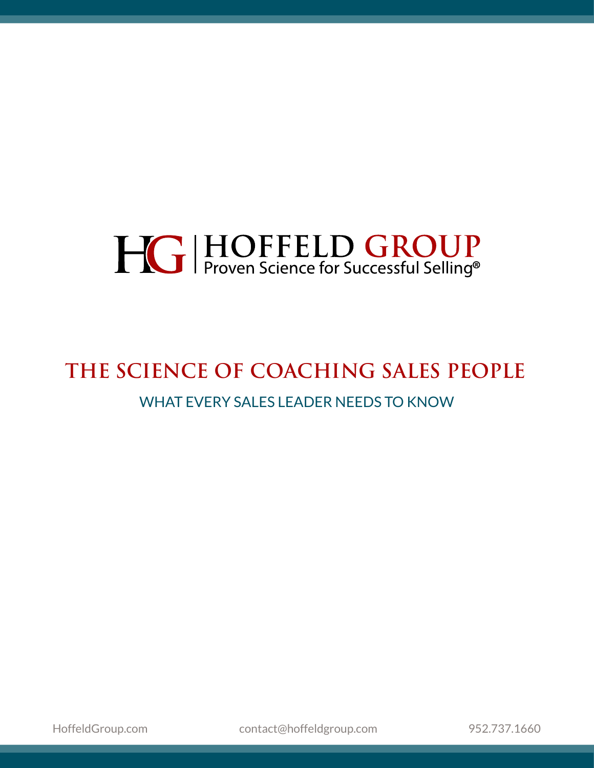# **HG | HOFFELD GROUP**<br>Proven Science for Successful Selling®

### **THE SCIENCE OF COACHING SALES PEOPLE** WHAT EVERY SALES LEADER NEEDS TO KNOW

HoffeldGroup.com [contact@hoffeldgroup.com](mailto:contact%40hoffeldgroup.com?subject=) [952.737.1660](tel:+019527371660)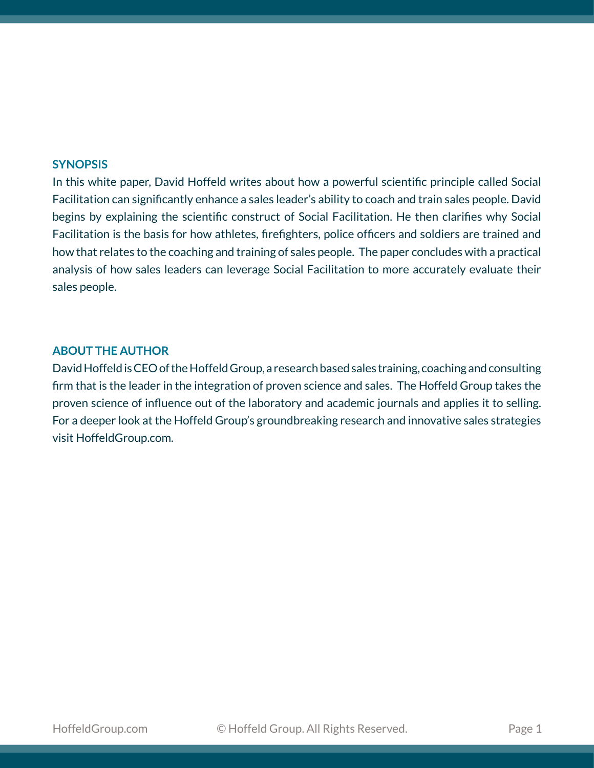#### **SYNOPSIS**

In this white paper, David Hoffeld writes about how a powerful scientific principle called Social Facilitation can significantly enhance a sales leader's ability to coach and train sales people. David begins by explaining the scientific construct of Social Facilitation. He then clarifies why Social Facilitation is the basis for how athletes, firefighters, police officers and soldiers are trained and how that relates to the coaching and training of sales people. The paper concludes with a practical analysis of how sales leaders can leverage Social Facilitation to more accurately evaluate their sales people.

### **ABOUT THE AUTHOR**

David Hoffeld is CEO of the Hoffeld Group, a research based sales training, coaching and consulting firm that is the leader in the integration of proven science and sales. The Hoffeld Group takes the proven science of influence out of the laboratory and academic journals and applies it to selling. For a deeper look at the Hoffeld Group's groundbreaking research and innovative sales strategies visit HoffeldGroup.com.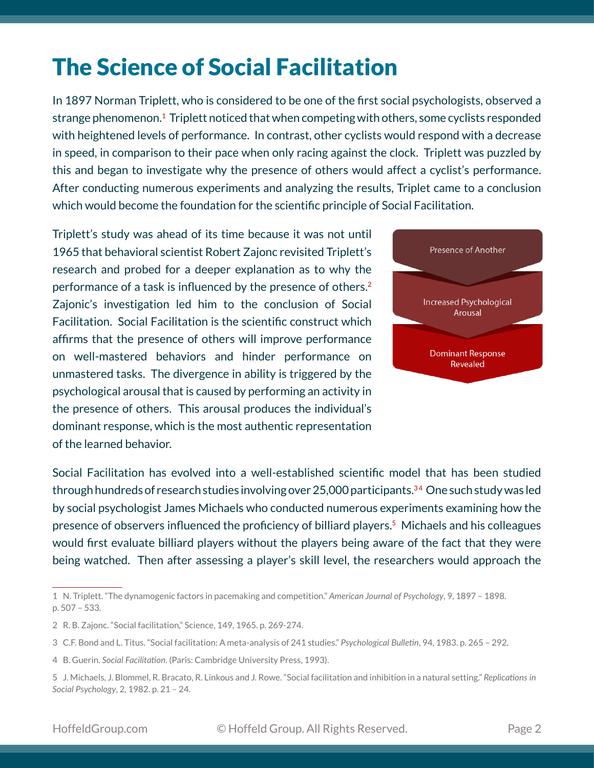# The Science of Social Facilitation

In 1897 Norman Triplett, who is considered to be one of the first social psychologists, observed a strange phenomenon.<sup>1</sup> Triplett noticed that when competing with others, some cyclists responded with heightened levels of performance. In contrast, other cyclists would respond with a decrease in speed, in comparison to their pace when only racing against the clock. Triplett was puzzled by this and began to investigate why the presence of others would affect a cyclist's performance. After conducting numerous experiments and analyzing the results, Triplet came to a conclusion which would become the foundation for the scientific principle of Social Facilitation.

Triplett's study was ahead of its time because it was not until 1965 that behavioral scientist Robert Zajonc revisited Triplett's research and probed for a deeper explanation as to why the performance of a task is influenced by the presence of others.<sup>2</sup> Zajonic's investigation led him to the conclusion of Social Facilitation. Social Facilitation is the scientific construct which affirms that the presence of others will improve performance on well-mastered behaviors and hinder performance on unmastered tasks. The divergence in ability is triggered by the psychological arousal that is caused by performing an activity in the presence of others. This arousal produces the individual's dominant response, which is the most authentic representation of the learned behavior.



Social Facilitation has evolved into a well-established scientific model that has been studied through hundreds of research studies involving over 25,000 participants.<sup>34</sup> One such study was led by social psychologist James Michaels who conducted numerous experiments examining how the presence of observers influenced the proficiency of billiard players.5 Michaels and his colleagues would first evaluate billiard players without the players being aware of the fact that they were being watched. Then after assessing a player's skill level, the researchers would approach the

<sup>1</sup> N. Triplett. "The dynamogenic factors in pacemaking and competition." *American Journal of Psychology*, 9, 1897 – 1898. p. 507 – 533.

<sup>2</sup> R. B. Zajonc. "Social facilitation," Science, 149, 1965. p. 269-274.

<sup>3</sup> C.F. Bond and L. Titus. "Social facilitation: A meta-analysis of 241 studies." *Psychological Bulletin*, 94, 1983. p. 265 – 292.

<sup>4</sup> B. Guerin. *Social Facilitation*. (Paris: Cambridge University Press, 1993).

<sup>5</sup> J. Michaels, J. Blommel, R. Bracato, R. Linkous and J. Rowe. "Social facilitation and inhibition in a natural setting." *Replications in Social Psychology*, 2, 1982. p. 21 – 24.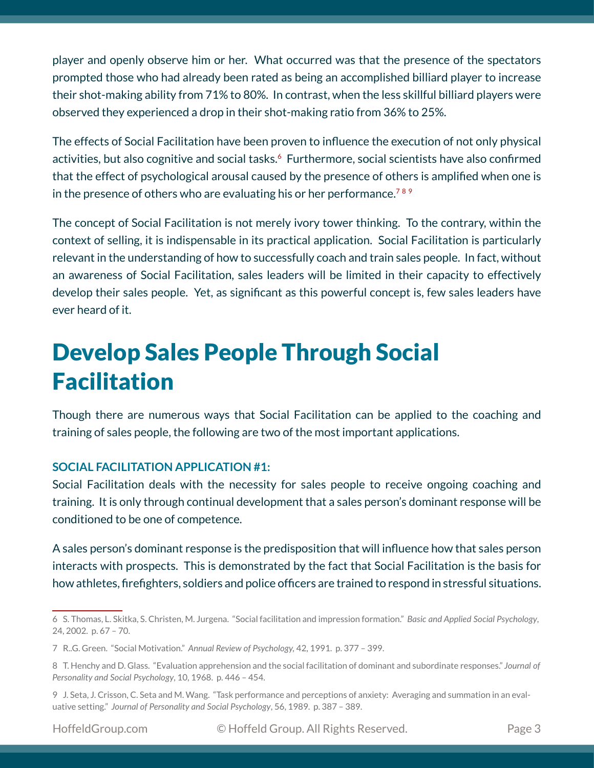player and openly observe him or her. What occurred was that the presence of the spectators prompted those who had already been rated as being an accomplished billiard player to increase their shot-making ability from 71% to 80%. In contrast, when the less skillful billiard players were observed they experienced a drop in their shot-making ratio from 36% to 25%.

The effects of Social Facilitation have been proven to influence the execution of not only physical activities, but also cognitive and social tasks.<sup>6</sup> Furthermore, social scientists have also confirmed that the effect of psychological arousal caused by the presence of others is amplified when one is in the presence of others who are evaluating his or her performance.<sup>789</sup>

The concept of Social Facilitation is not merely ivory tower thinking. To the contrary, within the context of selling, it is indispensable in its practical application. Social Facilitation is particularly relevant in the understanding of how to successfully coach and train sales people. In fact, without an awareness of Social Facilitation, sales leaders will be limited in their capacity to effectively develop their sales people. Yet, as significant as this powerful concept is, few sales leaders have ever heard of it.

# Develop Sales People Through Social Facilitation

Though there are numerous ways that Social Facilitation can be applied to the coaching and training of sales people, the following are two of the most important applications.

### **SOCIAL FACILITATION APPLICATION #1:**

Social Facilitation deals with the necessity for sales people to receive ongoing coaching and training. It is only through continual development that a sales person's dominant response will be conditioned to be one of competence.

A sales person's dominant response is the predisposition that will influence how that sales person interacts with prospects. This is demonstrated by the fact that Social Facilitation is the basis for how athletes, firefighters, soldiers and police officers are trained to respond in stressful situations.

<sup>6</sup> S. Thomas, L. Skitka, S. Christen, M. Jurgena. "Social facilitation and impression formation." *Basic and Applied Social Psychology*, 24, 2002. p. 67 – 70.

<sup>7</sup> R..G. Green. "Social Motivation." *Annual Review of Psychology,* 42, 1991. p. 377 – 399.

<sup>8</sup> T. Henchy and D. Glass. "Evaluation apprehension and the social facilitation of dominant and subordinate responses." *Journal of Personality and Social Psychology*, 10, 1968. p. 446 – 454.

<sup>9</sup> J. Seta, J. Crisson, C. Seta and M. Wang. "Task performance and perceptions of anxiety: Averaging and summation in an evaluative setting." *Journal of Personality and Social Psychology*, 56, 1989. p. 387 – 389.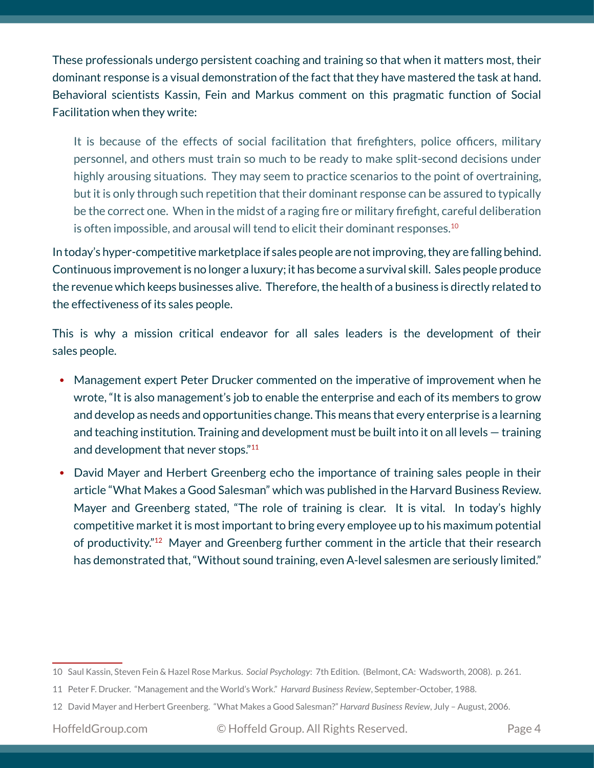These professionals undergo persistent coaching and training so that when it matters most, their dominant response is a visual demonstration of the fact that they have mastered the task at hand. Behavioral scientists Kassin, Fein and Markus comment on this pragmatic function of Social Facilitation when they write:

It is because of the effects of social facilitation that firefighters, police officers, military personnel, and others must train so much to be ready to make split-second decisions under highly arousing situations. They may seem to practice scenarios to the point of overtraining, but it is only through such repetition that their dominant response can be assured to typically be the correct one. When in the midst of a raging fire or military firefight, careful deliberation is often impossible, and arousal will tend to elicit their dominant responses.<sup>10</sup>

In today's hyper-competitive marketplace if sales people are not improving, they are falling behind. Continuous improvement is no longer a luxury; it has become a survival skill. Sales people produce the revenue which keeps businesses alive. Therefore, the health of a business is directly related to the effectiveness of its sales people.

This is why a mission critical endeavor for all sales leaders is the development of their sales people.

- Management expert Peter Drucker commented on the imperative of improvement when he wrote, "It is also management's job to enable the enterprise and each of its members to grow and develop as needs and opportunities change. This means that every enterprise is a learning and teaching institution. Training and development must be built into it on all levels — training and development that never stops."<sup>11</sup>
- David Mayer and Herbert Greenberg echo the importance of training sales people in their article "What Makes a Good Salesman" which was published in the Harvard Business Review. Mayer and Greenberg stated, "The role of training is clear. It is vital. In today's highly competitive market it is most important to bring every employee up to his maximum potential of productivity."12 Mayer and Greenberg further comment in the article that their research has demonstrated that, "Without sound training, even A-level salesmen are seriously limited."

<sup>10</sup> Saul Kassin, Steven Fein & Hazel Rose Markus. *Social Psychology*: 7th Edition. (Belmont, CA: Wadsworth, 2008). p. 261.

<sup>11</sup> Peter F. Drucker. "Management and the World's Work." *Harvard Business Review*, September-October, 1988.

<sup>12</sup> David Mayer and Herbert Greenberg. "What Makes a Good Salesman?" *Harvard Business Review*, July – August, 2006.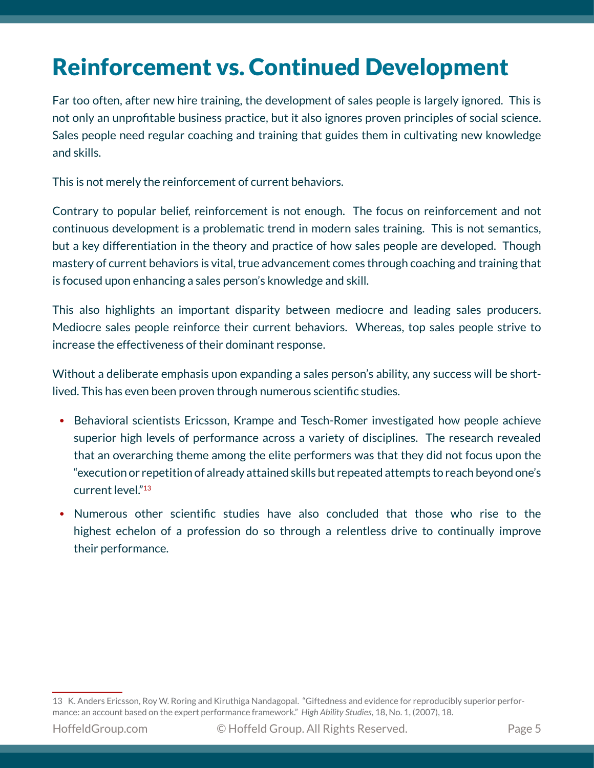# Reinforcement vs. Continued Development

Far too often, after new hire training, the development of sales people is largely ignored. This is not only an unprofitable business practice, but it also ignores proven principles of social science. Sales people need regular coaching and training that guides them in cultivating new knowledge and skills.

This is not merely the reinforcement of current behaviors.

Contrary to popular belief, reinforcement is not enough. The focus on reinforcement and not continuous development is a problematic trend in modern sales training. This is not semantics, but a key differentiation in the theory and practice of how sales people are developed. Though mastery of current behaviors is vital, true advancement comes through coaching and training that is focused upon enhancing a sales person's knowledge and skill.

This also highlights an important disparity between mediocre and leading sales producers. Mediocre sales people reinforce their current behaviors. Whereas, top sales people strive to increase the effectiveness of their dominant response.

Without a deliberate emphasis upon expanding a sales person's ability, any success will be shortlived. This has even been proven through numerous scientific studies.

- Behavioral scientists Ericsson, Krampe and Tesch-Romer investigated how people achieve superior high levels of performance across a variety of disciplines. The research revealed that an overarching theme among the elite performers was that they did not focus upon the "execution or repetition of already attained skills but repeated attempts to reach beyond one's current level."<sup>13</sup>
- Numerous other scientific studies have also concluded that those who rise to the highest echelon of a profession do so through a relentless drive to continually improve their performance.

<sup>13</sup> K. Anders Ericsson, Roy W. Roring and Kiruthiga Nandagopal. "Giftedness and evidence for reproducibly superior performance: an account based on the expert performance framework." *High Ability Studies*, 18, No. 1, (2007), 18.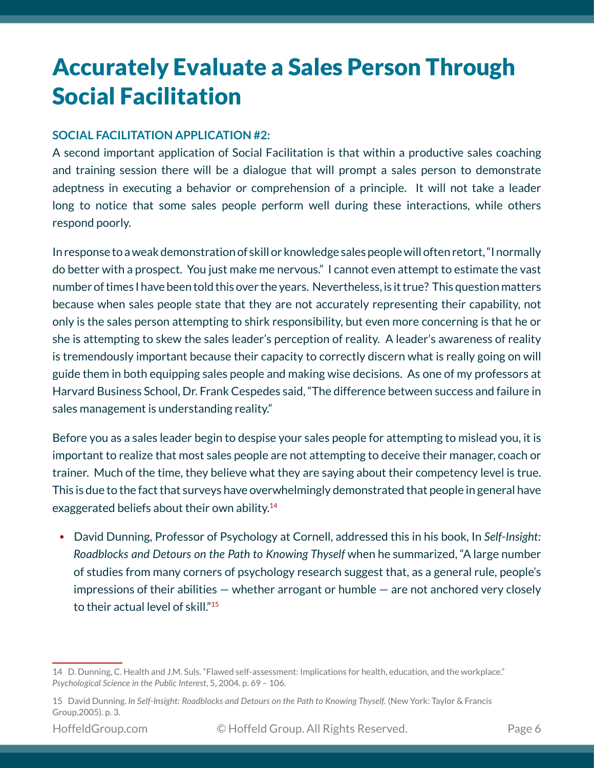# Accurately Evaluate a Sales Person Through Social Facilitation

### **SOCIAL FACILITATION APPLICATION #2:**

A second important application of Social Facilitation is that within a productive sales coaching and training session there will be a dialogue that will prompt a sales person to demonstrate adeptness in executing a behavior or comprehension of a principle. It will not take a leader long to notice that some sales people perform well during these interactions, while others respond poorly.

In response to a weak demonstration of skill or knowledge sales people will often retort, "I normally do better with a prospect. You just make me nervous." I cannot even attempt to estimate the vast number of times I have been told this over the years. Nevertheless, is it true? This question matters because when sales people state that they are not accurately representing their capability, not only is the sales person attempting to shirk responsibility, but even more concerning is that he or she is attempting to skew the sales leader's perception of reality. A leader's awareness of reality is tremendously important because their capacity to correctly discern what is really going on will guide them in both equipping sales people and making wise decisions. As one of my professors at Harvard Business School, Dr. Frank Cespedes said, "The difference between success and failure in sales management is understanding reality."

Before you as a sales leader begin to despise your sales people for attempting to mislead you, it is important to realize that most sales people are not attempting to deceive their manager, coach or trainer. Much of the time, they believe what they are saying about their competency level is true. This is due to the fact that surveys have overwhelmingly demonstrated that people in general have exaggerated beliefs about their own ability.<sup>14</sup>

• David Dunning, Professor of Psychology at Cornell, addressed this in his book, In *Self-Insight: Roadblocks and Detours on the Path to Knowing Thyself* when he summarized, "A large number of studies from many corners of psychology research suggest that, as a general rule, people's impressions of their abilities  $-$  whether arrogant or humble  $-$  are not anchored very closely to their actual level of skill."<sup>15</sup>

<sup>14</sup> D. Dunning, C. Health and J.M. Suls. "Flawed self-assessment: Implications for health, education, and the workplace." *Psychological Science in the Public Interest*, 5, 2004. p. 69 – 106.

<sup>15</sup> David Dunning. *In Self-Insight: Roadblocks and Detours on the Path to Knowing Thyself.* (New York: Taylor & Francis Group,2005). p. 3.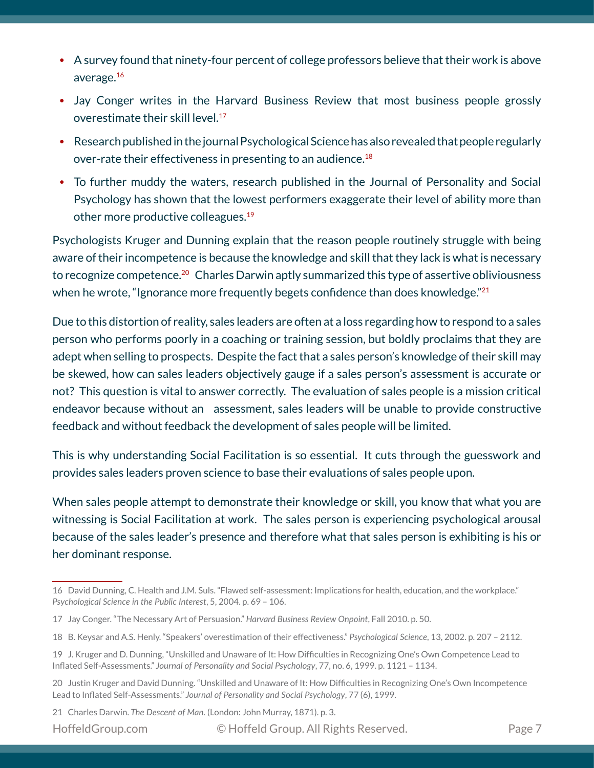- A survey found that ninety-four percent of college professors believe that their work is above average.16
- Jay Conger writes in the Harvard Business Review that most business people grossly overestimate their skill level.<sup>17</sup>
- Research published in the journal Psychological Science has also revealed that people regularly over-rate their effectiveness in presenting to an audience.<sup>18</sup>
- To further muddy the waters, research published in the Journal of Personality and Social Psychology has shown that the lowest performers exaggerate their level of ability more than other more productive colleagues.19

Psychologists Kruger and Dunning explain that the reason people routinely struggle with being aware of their incompetence is because the knowledge and skill that they lack is what is necessary to recognize competence.<sup>20</sup> Charles Darwin aptly summarized this type of assertive obliviousness when he wrote, "Ignorance more frequently begets confidence than does knowledge."<sup>21</sup>

Due to this distortion of reality, sales leaders are often at a loss regarding how to respond to a sales person who performs poorly in a coaching or training session, but boldly proclaims that they are adept when selling to prospects. Despite the fact that a sales person's knowledge of their skill may be skewed, how can sales leaders objectively gauge if a sales person's assessment is accurate or not? This question is vital to answer correctly. The evaluation of sales people is a mission critical endeavor because without an assessment, sales leaders will be unable to provide constructive feedback and without feedback the development of sales people will be limited.

This is why understanding Social Facilitation is so essential. It cuts through the guesswork and provides sales leaders proven science to base their evaluations of sales people upon.

When sales people attempt to demonstrate their knowledge or skill, you know that what you are witnessing is Social Facilitation at work. The sales person is experiencing psychological arousal because of the sales leader's presence and therefore what that sales person is exhibiting is his or her dominant response.

- 18  B. Keysar and A.S. Henly. "Speakers' overestimation of their effectiveness." *Psychological Science*, 13, 2002. p. 207 2112.
- 19  J. Kruger and D. Dunning, "Unskilled and Unaware of It: How Difficulties in Recognizing One's Own Competence Lead to Inflated Self-Assessments." *Journal of Personality and Social Psychology*, 77, no. 6, 1999. p. 1121 – 1134.
- 20  Justin Kruger and David Dunning. "Unskilled and Unaware of It: How Difficulties in Recognizing One's Own Incompetence Lead to Inflated Self-Assessments." *Journal of Personality and Social Psychology*, 77 (6), 1999.

21 Charles Darwin. *The Descent of Man.* (London: John Murray, 1871). p. 3.

HoffeldGroup.com © Hoffeld Group. All Rights Reserved. Page 7

<sup>16</sup> David Dunning, C. Health and J.M. Suls. "Flawed self-assessment: Implications for health, education, and the workplace." *Psychological Science in the Public Interest*, 5, 2004. p. 69 – 106.

<sup>17</sup> Jay Conger. "The Necessary Art of Persuasion." *Harvard Business Review Onpoint*, Fall 2010. p. 50.